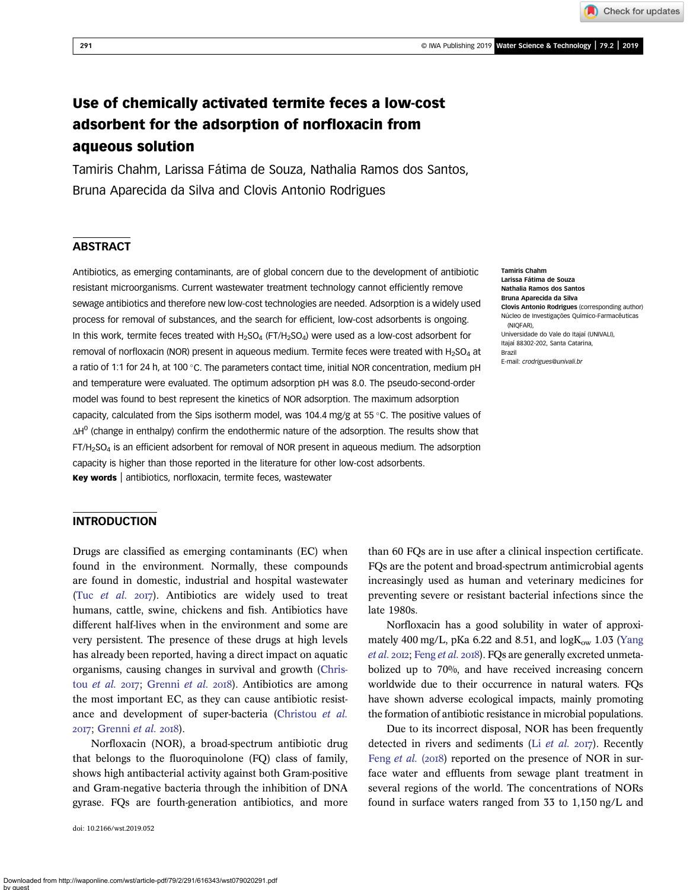Check for updates

# Use of chemically activated termite feces a low-cost adsorbent for the adsorption of norfloxacin from aqueous solution

Tamiris Chahm, Larissa Fátima de Souza, Nathalia Ramos dos Santos, Bruna Aparecida da Silva and Clovis Antonio Rodrigues

## **ABSTRACT**

Antibiotics, as emerging contaminants, are of global concern due to the development of antibiotic resistant microorganisms. Current wastewater treatment technology cannot efficiently remove sewage antibiotics and therefore new low-cost technologies are needed. Adsorption is a widely used process for removal of substances, and the search for efficient, low-cost adsorbents is ongoing. In this work, termite feces treated with  $H_2SO_4$  (FT/H<sub>2</sub>SO<sub>4</sub>) were used as a low-cost adsorbent for removal of norfloxacin (NOR) present in aqueous medium. Termite feces were treated with  $H_2SO_4$  at a ratio of 1:1 for 24 h, at 100 °C. The parameters contact time, initial NOR concentration, medium pH and temperature were evaluated. The optimum adsorption pH was 8.0. The pseudo-second-order model was found to best represent the kinetics of NOR adsorption. The maximum adsorption capacity, calculated from the Sips isotherm model, was 104.4 mg/g at 55  $\degree$ C. The positive values of ΔΗ<sup>0</sup> (change in enthalpy) confirm the endothermic nature of the adsorption. The results show that  $FT/H<sub>2</sub>SO<sub>4</sub>$  is an efficient adsorbent for removal of NOR present in aqueous medium. The adsorption capacity is higher than those reported in the literature for other low-cost adsorbents. Key words | antibiotics, norfloxacin, termite feces, wastewater

Tamiris Chahm Larissa Fátima de Souza Nathalia Ramos dos Santos Bruna Aparecida da Silva Clovis Antonio Rodrigues (corresponding author) Núcleo de Investigações Químico-Farmacêuticas (NIQFAR), Universidade do Vale do Itajaí (UNIVALI), Itajaí 88302-202, Santa Catarina, Brazil E-mail: [crodrigues@univali.br](mailto:crodrigues@univali.br)

## **INTRODUCTION**

Drugs are classified as emerging contaminants (EC) when found in the environment. Normally, these compounds are found in domestic, industrial and hospital wastewater (Tuc *[et al.](#page-10-0)*  $20I7$ ). Antibiotics are widely used to treat humans, cattle, swine, chickens and fish. Antibiotics have different half-lives when in the environment and some are very persistent. The presence of these drugs at high levels has already been reported, having a direct impact on aquatic organisms, causing changes in survival and growth ([Chris](#page-9-0)tou [et al.](#page-9-0) 2017; [Grenni](#page-9-0) et al. 2018). Antibiotics are among the most important EC, as they can cause antibiotic resistance and development of super-bacteria ([Christou](#page-9-0) et al. 2017; [Grenni](#page-9-0) et al. 2018).

Norfloxacin (NOR), a broad-spectrum antibiotic drug that belongs to the fluoroquinolone (FQ) class of family, shows high antibacterial activity against both Gram-positive and Gram-negative bacteria through the inhibition of DNA gyrase. FQs are fourth-generation antibiotics, and more

doi: 10.2166/wst.2019.052

than 60 FQs are in use after a clinical inspection certificate. FQs are the potent and broad-spectrum antimicrobial agents increasingly used as human and veterinary medicines for preventing severe or resistant bacterial infections since the late 1980s.

Norfloxacin has a good solubility in water of approximately 400 mg/L, pKa 6.22 and 8.51, and  $logK_{ow}$  1.03 [\(Yang](#page-10-0) [et al.](#page-10-0) 2012; [Feng](#page-9-0) et al. 2018). FQs are generally excreted unmetabolized up to 70%, and have received increasing concern worldwide due to their occurrence in natural waters. FQs have shown adverse ecological impacts, mainly promoting the formation of antibiotic resistance in microbial populations.

Due to its incorrect disposal, NOR has been frequently detected in rivers and sediments (Li  $et$  al.  $2017$ ). Recently Feng [et al.](#page-9-0) (2018) reported on the presence of NOR in surface water and effluents from sewage plant treatment in several regions of the world. The concentrations of NORs found in surface waters ranged from 33 to 1,150 ng/L and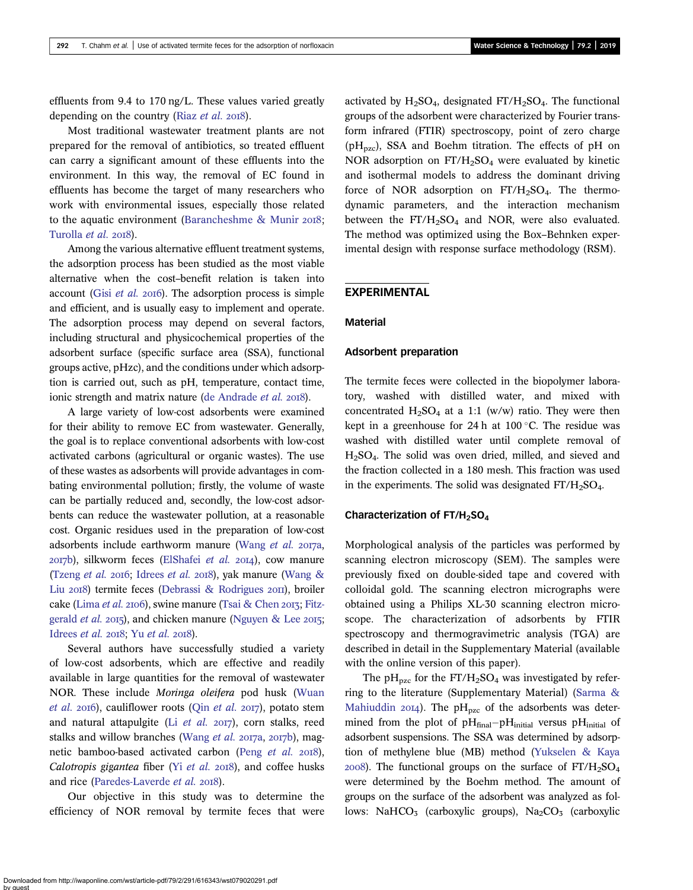effluents from 9.4 to 170 ng/L. These values varied greatly depending on the country (Riaz  $et$   $al.$  2018).

Most traditional wastewater treatment plants are not prepared for the removal of antibiotics, so treated effluent can carry a significant amount of these effluents into the environment. In this way, the removal of EC found in effluents has become the target of many researchers who work with environmental issues, especially those related to the aquatic environment (Barancheshme  $\&$  Munir 2018; [Turolla](#page-10-0) et al. 2018).

Among the various alternative effluent treatment systems, the adsorption process has been studied as the most viable alternative when the cost–benefit relation is taken into account (Gisi [et al.](#page-9-0)  $2016$ ). The adsorption process is simple and efficient, and is usually easy to implement and operate. The adsorption process may depend on several factors, including structural and physicochemical properties of the adsorbent surface (specific surface area (SSA), functional groups active, pHzc), and the conditions under which adsorption is carried out, such as pH, temperature, contact time, ionic strength and matrix nature [\(de Andrade](#page-9-0) *et al.* 2018).

A large variety of low-cost adsorbents were examined for their ability to remove EC from wastewater. Generally, the goal is to replace conventional adsorbents with low-cost activated carbons (agricultural or organic wastes). The use of these wastes as adsorbents will provide advantages in combating environmental pollution; firstly, the volume of waste can be partially reduced and, secondly, the low-cost adsorbents can reduce the wastewater pollution, at a reasonable cost. Organic residues used in the preparation of low-cost adsorbents include earthworm manure [\(Wang](#page-10-0) et al. 2017a,  $2017b$ ), silkworm feces [\(ElShafei](#page-9-0) *et al.*  $2014$ ), cow manure [\(Tzeng](#page-10-0) et al. 2016; [Idrees](#page-9-0) et al. 2018), yak manure [\(Wang &](#page-10-0) Liu 2018) termite feces [\(Debrassi & Rodrigues](#page-9-0) 2011), broiler cake [\(Lima](#page-9-0) et al. 2106), swine manure [\(Tsai & Chen](#page-10-0) 2013; [Fitz](#page-9-0)[gerald](#page-9-0) *et al.* 2015), and chicken manure ([Nguyen & Lee](#page-9-0) 2015; [Idrees](#page-9-0)  $et$  al. 2018; Yu  $et$  al. 2018).

Several authors have successfully studied a variety of low-cost adsorbents, which are effective and readily available in large quantities for the removal of wastewater NOR. These include Moringa oleifera pod husk ([Wuan](#page-10-0) [et al.](#page-9-0) 2016), cauliflower roots (Qin et al. 2017), potato stem and natural attapulgite (Li  $et$  al.  $2017$ ), corn stalks, reed stalks and willow branches [\(Wang](#page-10-0) et al.  $2017a$ ,  $2017b$ ), magnetic bamboo-based activated carbon (Peng [et al.](#page-9-0) 2018), Calotropis gigantea fiber (Yi [et al.](#page-10-0)  $20I8$ ), and coffee husks and rice ([Paredes-Laverde](#page-9-0) et al. 2018).

Our objective in this study was to determine the efficiency of NOR removal by termite feces that were activated by  $H_2SO_4$ , designated FT/ $H_2SO_4$ . The functional groups of the adsorbent were characterized by Fourier transform infrared (FTIR) spectroscopy, point of zero charge ( $pH_{pzc}$ ), SSA and Boehm titration. The effects of  $pH$  on NOR adsorption on  $FT/H_2SO_4$  were evaluated by kinetic and isothermal models to address the dominant driving force of NOR adsorption on  $FT/H_2SO_4$ . The thermodynamic parameters, and the interaction mechanism between the  $FT/H<sub>2</sub>SO<sub>4</sub>$  and NOR, were also evaluated. The method was optimized using the Box–Behnken experimental design with response surface methodology (RSM).

## EXPERIMENTAL

#### Material

#### Adsorbent preparation

The termite feces were collected in the biopolymer laboratory, washed with distilled water, and mixed with concentrated  $H_2SO_4$  at a 1:1 (w/w) ratio. They were then kept in a greenhouse for 24 h at 100 $\degree$ C. The residue was washed with distilled water until complete removal of H2SO4. The solid was oven dried, milled, and sieved and the fraction collected in a 180 mesh. This fraction was used in the experiments. The solid was designated  $FT/H_2SO_4$ .

#### Characterization of  $FT/H_2SO_4$

Morphological analysis of the particles was performed by scanning electron microscopy (SEM). The samples were previously fixed on double-sided tape and covered with colloidal gold. The scanning electron micrographs were obtained using a Philips XL-30 scanning electron microscope. The characterization of adsorbents by FTIR spectroscopy and thermogravimetric analysis (TGA) are described in detail in the Supplementary Material (available with the online version of this paper).

The pH<sub>pzc</sub> for the FT/H<sub>2</sub>SO<sub>4</sub> was investigated by referring to the literature (Supplementary Material) ([Sarma &](#page-10-0) [Mahiuddin](#page-10-0) 2014). The pH<sub>pzc</sub> of the adsorbents was determined from the plot of  $pH<sub>final</sub>-pH<sub>initial</sub>$  versus  $pH<sub>initial</sub>$  of adsorbent suspensions. The SSA was determined by adsorption of methylene blue (MB) method [\(Yukselen & Kaya](#page-10-0)  $2008$ ). The functional groups on the surface of  $FT/H<sub>2</sub>SO<sub>4</sub>$ were determined by the Boehm method. The amount of groups on the surface of the adsorbent was analyzed as follows: NaHCO<sub>3</sub> (carboxylic groups), Na<sub>2</sub>CO<sub>3</sub> (carboxylic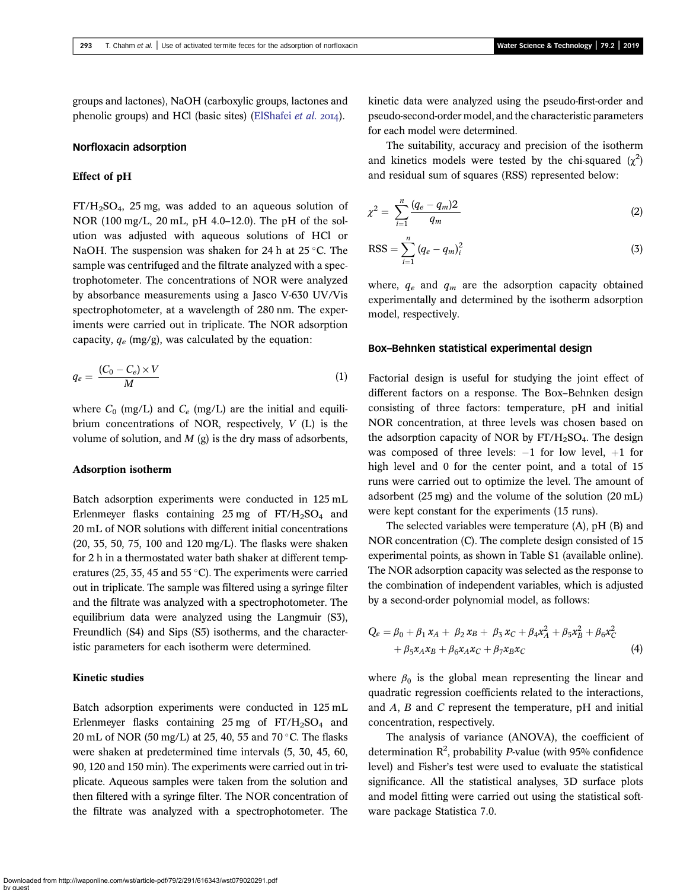groups and lactones), NaOH (carboxylic groups, lactones and phenolic groups) and HCl (basic sites) [\(ElShafei](#page-9-0) et al.  $20I4$ ).

## Norfloxacin adsorption

## Effect of pH

 $FT/H<sub>2</sub>SO<sub>4</sub>$ , 25 mg, was added to an aqueous solution of NOR (100 mg/L, 20 mL, pH 4.0–12.0). The pH of the solution was adjusted with aqueous solutions of HCl or NaOH. The suspension was shaken for 24 h at  $25^{\circ}$ C. The sample was centrifuged and the filtrate analyzed with a spectrophotometer. The concentrations of NOR were analyzed by absorbance measurements using a Jasco V-630 UV/Vis spectrophotometer, at a wavelength of 280 nm. The experiments were carried out in triplicate. The NOR adsorption capacity,  $q_e$  (mg/g), was calculated by the equation:

$$
q_e = \frac{(C_0 - C_e) \times V}{M} \tag{1}
$$

where  $C_0$  (mg/L) and  $C_e$  (mg/L) are the initial and equilibrium concentrations of NOR, respectively, V (L) is the volume of solution, and  $M$  (g) is the dry mass of adsorbents,

## Adsorption isotherm

Batch adsorption experiments were conducted in 125 mL Erlenmeyer flasks containing 25 mg of  $FT/H_2SO_4$  and 20 mL of NOR solutions with different initial concentrations (20, 35, 50, 75, 100 and 120 mg/L). The flasks were shaken for 2 h in a thermostated water bath shaker at different temperatures (25, 35, 45 and 55 $^{\circ}$ C). The experiments were carried out in triplicate. The sample was filtered using a syringe filter and the filtrate was analyzed with a spectrophotometer. The equilibrium data were analyzed using the Langmuir (S3), Freundlich (S4) and Sips (S5) isotherms, and the characteristic parameters for each isotherm were determined.

## Kinetic studies

Batch adsorption experiments were conducted in 125 mL Erlenmeyer flasks containing 25 mg of  $FT/H_2SO_4$  and 20 mL of NOR (50 mg/L) at 25, 40, 55 and 70  $\degree$ C. The flasks were shaken at predetermined time intervals (5, 30, 45, 60, 90, 120 and 150 min). The experiments were carried out in triplicate. Aqueous samples were taken from the solution and then filtered with a syringe filter. The NOR concentration of the filtrate was analyzed with a spectrophotometer. The

kinetic data were analyzed using the pseudo-first-order and pseudo-second-order model, and the characteristic parameters for each model were determined.

The suitability, accuracy and precision of the isotherm and kinetics models were tested by the chi-squared  $(\chi^2)$ and residual sum of squares (RSS) represented below:

$$
\chi^2 = \sum_{i=1}^n \frac{(q_e - q_m)2}{q_m} \tag{2}
$$

$$
RSS = \sum_{i=1}^{n} (q_e - q_m)_i^2
$$
 (3)

where,  $q_e$  and  $q_m$  are the adsorption capacity obtained experimentally and determined by the isotherm adsorption model, respectively.

## Box–Behnken statistical experimental design

Factorial design is useful for studying the joint effect of different factors on a response. The Box–Behnken design consisting of three factors: temperature, pH and initial NOR concentration, at three levels was chosen based on the adsorption capacity of NOR by  $FT/H_2SO_4$ . The design was composed of three levels:  $-1$  for low level,  $+1$  for high level and 0 for the center point, and a total of 15 runs were carried out to optimize the level. The amount of adsorbent (25 mg) and the volume of the solution (20 mL) were kept constant for the experiments (15 runs).

The selected variables were temperature (A), pH (B) and NOR concentration (C). The complete design consisted of 15 experimental points, as shown in Table S1 (available online). The NOR adsorption capacity was selected as the response to the combination of independent variables, which is adjusted by a second-order polynomial model, as follows:

$$
Q_e = \beta_0 + \beta_1 x_A + \beta_2 x_B + \beta_3 x_C + \beta_4 x_A^2 + \beta_5 x_B^2 + \beta_6 x_C^2 + \beta_5 x_A x_B + \beta_6 x_A x_C + \beta_7 x_B x_C
$$
 (4)

where  $\beta_0$  is the global mean representing the linear and quadratic regression coefficients related to the interactions, and A, B and C represent the temperature, pH and initial concentration, respectively.

The analysis of variance (ANOVA), the coefficient of determination  $R^2$ , probability P-value (with 95% confidence level) and Fisher's test were used to evaluate the statistical significance. All the statistical analyses, 3D surface plots and model fitting were carried out using the statistical software package Statistica 7.0.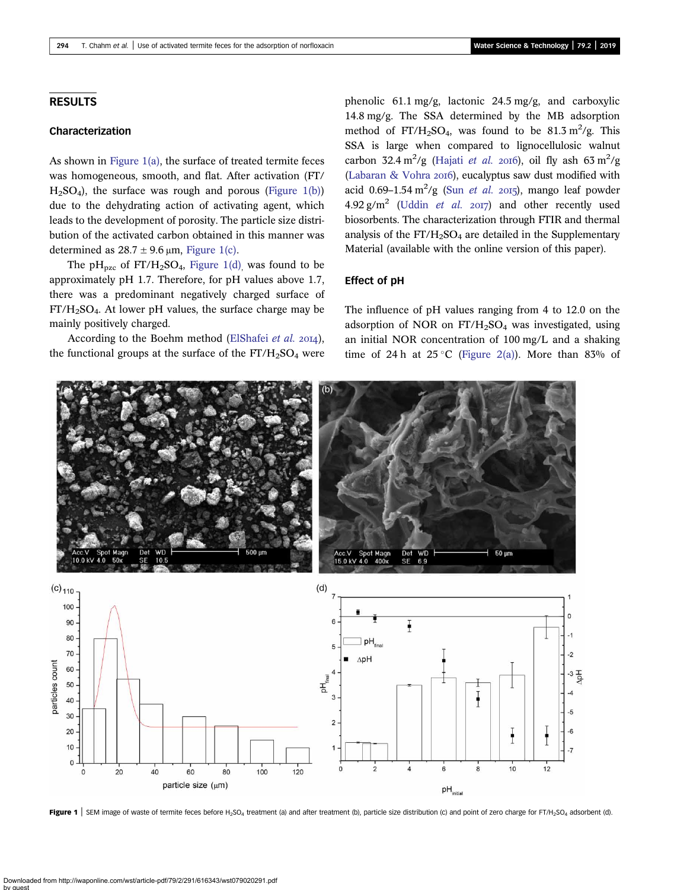## <span id="page-3-0"></span>RESULTS

# Characterization

As shown in Figure 1(a), the surface of treated termite feces was homogeneous, smooth, and flat. After activation (FT/  $H<sub>2</sub>SO<sub>4</sub>$ ), the surface was rough and porous (Figure 1(b)) due to the dehydrating action of activating agent, which leads to the development of porosity. The particle size distribution of the activated carbon obtained in this manner was determined as  $28.7 \pm 9.6 \,\mu m$ , Figure 1(c).

The  $pH_{pzc}$  of  $FT/H_2SO_4$ , Figure 1(d), was found to be approximately pH 1.7. Therefore, for pH values above 1.7, there was a predominant negatively charged surface of FT/H2SO4. At lower pH values, the surface charge may be mainly positively charged.

According to the Boehm method [\(ElShafei](#page-9-0) et al. 2014), the functional groups at the surface of the  $FT/H<sub>2</sub>SO<sub>4</sub>$  were phenolic 61.1 mg/g, lactonic 24.5 mg/g, and carboxylic 14.8 mg/g. The SSA determined by the MB adsorption method of  $FT/H_2SO_4$ , was found to be 81.3 m<sup>2</sup>/g. This SSA is large when compared to lignocellulosic walnut carbon 32.4 m<sup>2</sup>/g ([Hajati](#page-9-0) et al. 2016), oil fly ash 63 m<sup>2</sup>/g [\(Labaran & Vohra](#page-9-0) 2016), eucalyptus saw dust modified with acid 0.69–1.54 m<sup>2</sup>/g (Sun [et al.](#page-10-0) 2015), mango leaf powder 4.92 g/m<sup>2</sup> [\(Uddin](#page-10-0) *et al.* 2017) and other recently used biosorbents. The characterization through FTIR and thermal analysis of the  $FT/H<sub>2</sub>SO<sub>4</sub>$  are detailed in the Supplementary Material (available with the online version of this paper).

## Effect of pH

The influence of pH values ranging from 4 to 12.0 on the adsorption of NOR on  $FT/H_2SO_4$  was investigated, using an initial NOR concentration of 100 mg/L and a shaking time of 24 h at 25 °C [\(Figure 2\(a\)\)](#page-4-0). More than 83% of



Figure 1 | SEM image of waste of termite feces before H<sub>2</sub>SO<sub>4</sub> treatment (a) and after treatment (b), particle size distribution (c) and point of zero charge for FT/H<sub>2</sub>SO<sub>4</sub> adsorbent (d).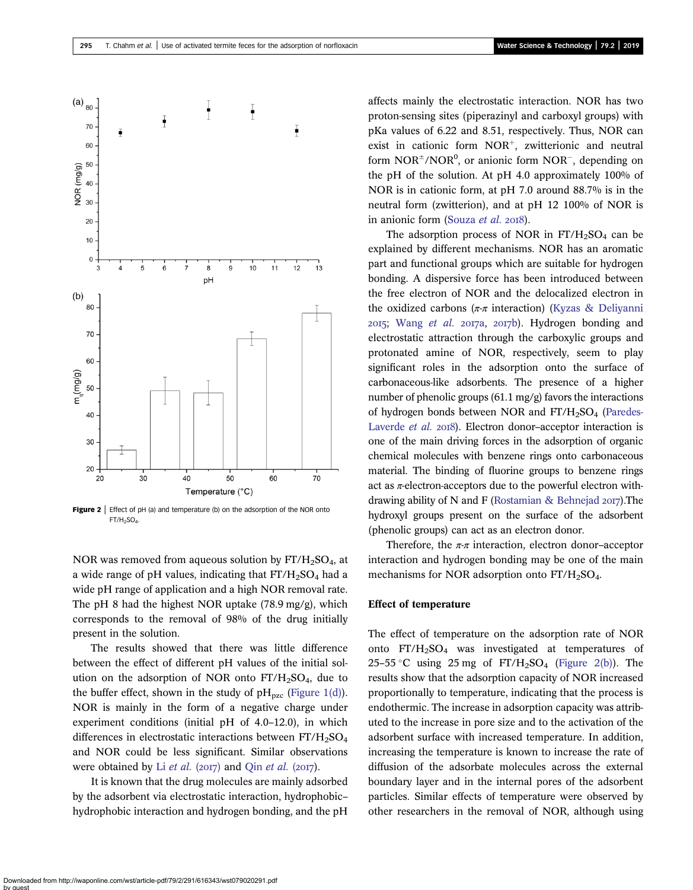<span id="page-4-0"></span>

**Figure 2** | Effect of pH (a) and temperature (b) on the adsorption of the NOR onto  $FT/H<sub>2</sub>SO<sub>4</sub>$ 

NOR was removed from aqueous solution by  $FT/H<sub>2</sub>SO<sub>4</sub>$ , at a wide range of pH values, indicating that  $FT/H<sub>2</sub>SO<sub>4</sub>$  had a wide pH range of application and a high NOR removal rate. The pH 8 had the highest NOR uptake (78.9 mg/g), which corresponds to the removal of 98% of the drug initially present in the solution.

The results showed that there was little difference between the effect of different pH values of the initial solution on the adsorption of NOR onto  $FT/H<sub>2</sub>SO<sub>4</sub>$ , due to the buffer effect, shown in the study of  $pH_{pzc}$  ([Figure 1\(d\)\)](#page-3-0). NOR is mainly in the form of a negative charge under experiment conditions (initial pH of 4.0–12.0), in which differences in electrostatic interactions between  $FT/H_2SO_4$ and NOR could be less significant. Similar observations were obtained by Li *[et al.](#page-9-0)* (2017) and Qin *et al.* (2017).

It is known that the drug molecules are mainly adsorbed by the adsorbent via electrostatic interaction, hydrophobic– hydrophobic interaction and hydrogen bonding, and the pH affects mainly the electrostatic interaction. NOR has two proton-sensing sites (piperazinyl and carboxyl groups) with pKa values of 6.22 and 8.51, respectively. Thus, NOR can exist in cationic form  $NOR<sup>+</sup>$ , zwitterionic and neutral form  $NOR^{\pm}/NOR^0$ , or anionic form  $NOR^-$ , depending on the pH of the solution. At pH 4.0 approximately 100% of NOR is in cationic form, at pH 7.0 around 88.7% is in the neutral form (zwitterion), and at pH 12 100% of NOR is in anionic form ([Souza](#page-10-0) et al. 2018).

The adsorption process of NOR in  $FT/H_2SO_4$  can be explained by different mechanisms. NOR has an aromatic part and functional groups which are suitable for hydrogen bonding. A dispersive force has been introduced between the free electron of NOR and the delocalized electron in the oxidized carbons ( $\pi$ -π interaction) [\(Kyzas & Deliyanni](#page-9-0)  $2015$ ; [Wang](#page-10-0) et al.  $2017a$ ,  $2017b$ ). Hydrogen bonding and electrostatic attraction through the carboxylic groups and protonated amine of NOR, respectively, seem to play significant roles in the adsorption onto the surface of carbonaceous-like adsorbents. The presence of a higher number of phenolic groups (61.1 mg/g) favors the interactions of hydrogen bonds between NOR and  $FT/H<sub>2</sub>SO<sub>4</sub>$  ([Paredes-](#page-9-0)[Laverde](#page-9-0) et al. 2018). Electron donor-acceptor interaction is one of the main driving forces in the adsorption of organic chemical molecules with benzene rings onto carbonaceous material. The binding of fluorine groups to benzene rings act as  $\pi$ -electron-acceptors due to the powerful electron with-drawing ability of N and F [\(Rostamian & Behnejad](#page-10-0)  $2017$ ). The hydroxyl groups present on the surface of the adsorbent (phenolic groups) can act as an electron donor.

Therefore, the  $\pi$ -π interaction, electron donor-acceptor interaction and hydrogen bonding may be one of the main mechanisms for NOR adsorption onto  $FT/H<sub>2</sub>SO<sub>4</sub>$ .

## Effect of temperature

The effect of temperature on the adsorption rate of NOR onto  $FT/H<sub>2</sub>SO<sub>4</sub>$  was investigated at temperatures of 25–55 °C using 25 mg of  $FT/H_2SO_4$  (Figure 2(b)). The results show that the adsorption capacity of NOR increased proportionally to temperature, indicating that the process is endothermic. The increase in adsorption capacity was attributed to the increase in pore size and to the activation of the adsorbent surface with increased temperature. In addition, increasing the temperature is known to increase the rate of diffusion of the adsorbate molecules across the external boundary layer and in the internal pores of the adsorbent particles. Similar effects of temperature were observed by other researchers in the removal of NOR, although using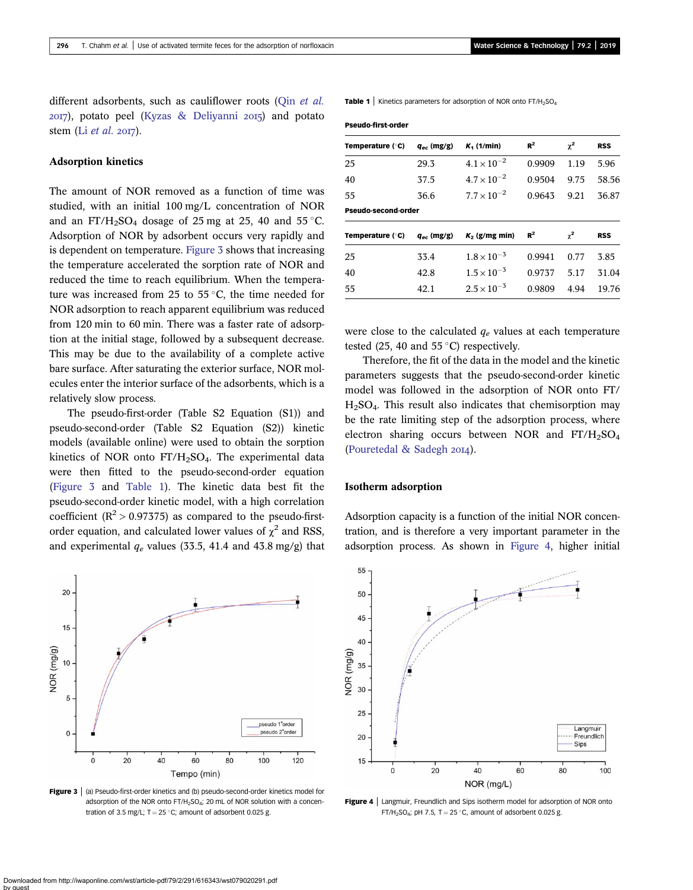different adsorbents, such as cauliflower roots (Oin [et al.](#page-9-0)  $20I7$ ), potato peel ([Kyzas & Deliyanni](#page-9-0)  $20I5$ ) and potato stem (Li  $et$  al. 2017).

## Adsorption kinetics

The amount of NOR removed as a function of time was studied, with an initial 100 mg/L concentration of NOR and an FT/H<sub>2</sub>SO<sub>4</sub> dosage of 25 mg at 25, 40 and 55 °C. Adsorption of NOR by adsorbent occurs very rapidly and is dependent on temperature. Figure 3 shows that increasing the temperature accelerated the sorption rate of NOR and reduced the time to reach equilibrium. When the temperature was increased from 25 to 55 $\degree$ C, the time needed for NOR adsorption to reach apparent equilibrium was reduced from 120 min to 60 min. There was a faster rate of adsorption at the initial stage, followed by a subsequent decrease. This may be due to the availability of a complete active bare surface. After saturating the exterior surface, NOR molecules enter the interior surface of the adsorbents, which is a relatively slow process.

The pseudo-first-order (Table S2 Equation (S1)) and pseudo-second-order (Table S2 Equation (S2)) kinetic models (available online) were used to obtain the sorption kinetics of NOR onto  $FT/H<sub>2</sub>SO<sub>4</sub>$ . The experimental data were then fitted to the pseudo-second-order equation (Figure 3 and Table 1). The kinetic data best fit the pseudo-second-order kinetic model, with a high correlation coefficient ( $\mathbb{R}^2$  > 0.97375) as compared to the pseudo-firstorder equation, and calculated lower values of  $\chi^2$  and RSS, and experimental  $q_e$  values (33.5, 41.4 and 43.8 mg/g) that



Figure 3 | (a) Pseudo-first-order kinetics and (b) pseudo-second-order kinetics model for adsorption of the NOR onto  $FT/H<sub>2</sub>SO<sub>A</sub>$ ; 20 mL of NOR solution with a concentration of 3.5 mg/L;  $T = 25$  °C; amount of adsorbent 0.025 g.

**Table 1** | Kinetics parameters for adsorption of NOR onto  $FT/H_2SO_4$ 

| Pseudo-first-order |  |
|--------------------|--|
|--------------------|--|

| Temperature (°C)    | $q_{ec}$ (mg/g) | $K_1$ (1/min)        | $R^2$  | $\chi^2$ | <b>RSS</b> |
|---------------------|-----------------|----------------------|--------|----------|------------|
| 25                  | 29.3            | $4.1 \times 10^{-2}$ | 0.9909 | 1.19     | 5.96       |
| 40                  | 37.5            | $4.7 \times 10^{-2}$ | 0.9504 | 9.75     | 58.56      |
| 55                  | 36.6            | $7.7 \times 10^{-2}$ | 0.9643 | 9.21     | 36.87      |
| Pseudo-second-order |                 |                      |        |          |            |
| Temperature (°C)    | $q_{ec}$ (mg/g) | $K_2$ (g/mg min)     | $R^2$  | $\chi^2$ | <b>RSS</b> |
| 25                  | 33.4            | $1.8 \times 10^{-3}$ | 0.9941 | 0.77     | 3.85       |
| 40                  | 42.8            | $1.5 \times 10^{-3}$ | 0.9737 | 5.17     | 31.04      |
| 55                  | 42.1            | $2.5 \times 10^{-3}$ | 0.9809 | 4.94     | 19.76      |
|                     |                 |                      |        |          |            |

were close to the calculated  $q_e$  values at each temperature tested (25, 40 and 55 $^{\circ}$ C) respectively.

Therefore, the fit of the data in the model and the kinetic parameters suggests that the pseudo-second-order kinetic model was followed in the adsorption of NOR onto FT/  $H<sub>2</sub>SO<sub>4</sub>$ . This result also indicates that chemisorption may be the rate limiting step of the adsorption process, where electron sharing occurs between NOR and  $FT/H_2SO_4$ ([Pouretedal & Sadegh](#page-9-0) 2014).

#### Isotherm adsorption

Adsorption capacity is a function of the initial NOR concentration, and is therefore a very important parameter in the adsorption process. As shown in Figure 4, higher initial



**Figure 4** | Langmuir, Freundlich and Sips isotherm model for adsorption of NOR onto FT/H<sub>2</sub>SO<sub>4</sub>; pH 7.5, T = 25 °C, amount of adsorbent 0.025 g.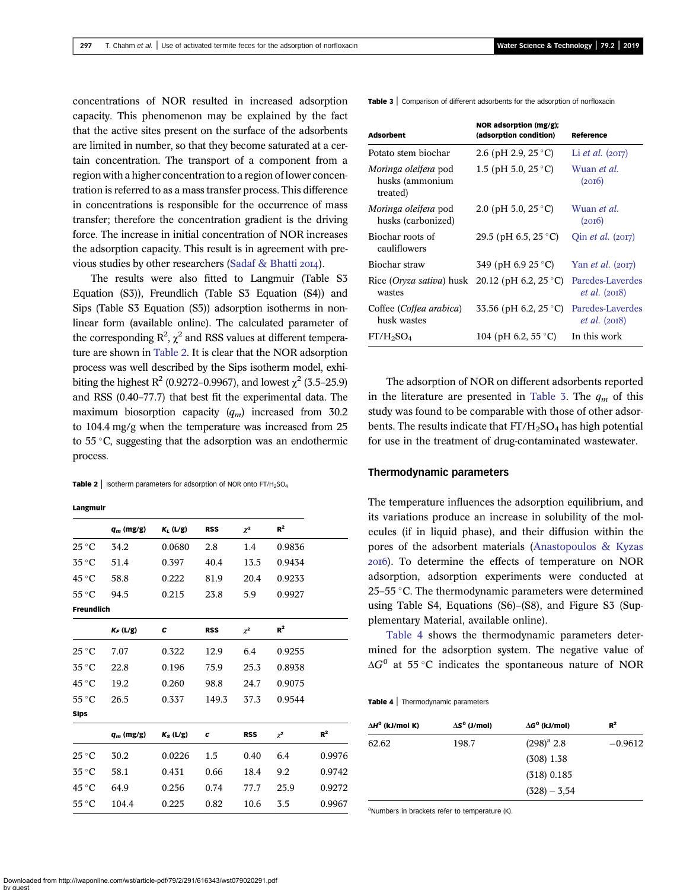concentrations of NOR resulted in increased adsorption capacity. This phenomenon may be explained by the fact that the active sites present on the surface of the adsorbents are limited in number, so that they become saturated at a certain concentration. The transport of a component from a region with a higher concentration to a region of lower concentration is referred to as a mass transfer process. This difference in concentrations is responsible for the occurrence of mass transfer; therefore the concentration gradient is the driving force. The increase in initial concentration of NOR increases the adsorption capacity. This result is in agreement with pre-vious studies by other researchers [\(Sadaf & Bhatti](#page-10-0) 2014).

The results were also fitted to Langmuir (Table S3 Equation (S3)), Freundlich (Table S3 Equation (S4)) and Sips (Table S3 Equation (S5)) adsorption isotherms in nonlinear form (available online). The calculated parameter of the corresponding  $R^2$ ,  $\chi^2$  and RSS values at different temperature are shown in Table 2. It is clear that the NOR adsorption process was well described by the Sips isotherm model, exhibiting the highest  $R^2$  (0.9272–0.9967), and lowest  $\chi^2$  (3.5–25.9) and RSS (0.40–77.7) that best fit the experimental data. The maximum biosorption capacity  $(q_m)$  increased from 30.2 to 104.4 mg/g when the temperature was increased from 25 to  $55^{\circ}$ C, suggesting that the adsorption was an endothermic process.

**Table 2** | Isotherm parameters for adsorption of NOR onto  $FT/H_2SO_4$ 

#### Langmuir

|                          | $q_m$ (mg/g) | $K_L$ (L/g) | <b>RSS</b> | $\chi^2$   | $R^2$    |        |
|--------------------------|--------------|-------------|------------|------------|----------|--------|
| $25^{\circ}C$            | 34.2         | 0.0680      | 2.8        | 1.4        | 0.9836   |        |
| 35 °C                    | 51.4         | 0.397       | 40.4       | 13.5       | 0.9434   |        |
| 45 °C                    | 58.8         | 0.222       | 81.9       | 20.4       | 0.9233   |        |
| $55^{\circ}$ C           | 94.5         | 0.215       | 23.8       | 5.9        | 0.9927   |        |
| <b>Freundlich</b>        |              |             |            |            |          |        |
|                          | $K_F$ (L/g)  | с           | <b>RSS</b> | $\chi^2$   | $R^2$    |        |
| $25^{\circ}C$            | 7.07         | 0.322       | 12.9       | 6.4        | 0.9255   |        |
| $35^{\circ}$ C           | 22.8         | 0.196       | 75.9       | 25.3       | 0.8938   |        |
| 45 °C                    | 19.2         | 0.260       | 98.8       | 24.7       | 0.9075   |        |
| $55^{\circ}$ C           | 26.5         | 0.337       | 149.3      | 37.3       | 0.9544   |        |
| <b>Sips</b>              |              |             |            |            |          |        |
|                          | $q_m$ (mg/g) | $K_S$ (L/g) | C          | <b>RSS</b> | $\chi^2$ | $R^2$  |
| $25\,^{\circ}\mathrm{C}$ | 30.2         | 0.0226      | 1.5        | 0.40       | 6.4      | 0.9976 |
| $35^{\circ}$ C           | 58.1         | 0.431       | 0.66       | 18.4       | 9.2      | 0.9742 |
| 45 °C                    | 64.9         | 0.256       | 0.74       | 77.7       | 25.9     | 0.9272 |
| $55^{\circ}$ C           | 104.4        | 0.225       | 0.82       | 10.6       | 3.5      | 0.9967 |

Table 3 | Comparison of different adsorbents for the adsorption of norfloxacin

| <b>Adsorbent</b>                                           | NOR adsorption (mg/g);<br>(adsorption condition) | Reference                                  |
|------------------------------------------------------------|--------------------------------------------------|--------------------------------------------|
| Potato stem biochar                                        | 2.6 (pH 2.9, 25 °C)                              | Li <i>et al.</i> $(2017)$                  |
| <i>Moringa oleifera</i> pod<br>husks (ammonium<br>treated) | 1.5 (pH 5.0, 25 $^{\circ}$ C)                    | Wuan <i>et al</i> .<br>(20I6)              |
| <i>Moringa oleifera</i> pod<br>husks (carbonized)          | 2.0 (pH 5.0, 25 $\degree$ C)                     | Wuan <i>et al</i> .<br>(20I6)              |
| Biochar roots of<br>cauliflowers                           | 29.5 (pH 6.5, 25 °C)                             | Qin <i>et al.</i> (2017)                   |
| Biochar straw                                              | 349 (pH 6.9 25 °C)                               | Yan <i>et al.</i> (2017)                   |
| Rice (Oryza sativa) husk 20.12 (pH 6.2, 25 °C)<br>wastes   |                                                  | Paredes-Laverdes<br><i>et al.</i> $(2018)$ |
| Coffee (Coffea arabica)<br>husk wastes                     | 33.56 (pH 6.2, 25 °C)                            | Paredes-Laverdes<br><i>et al.</i> (2018)   |
| $FT/H_2SO_4$                                               | 104 (pH 6.2, 55 °C)                              | In this work                               |

The adsorption of NOR on different adsorbents reported in the literature are presented in Table 3. The  $q_m$  of this study was found to be comparable with those of other adsorbents. The results indicate that  $FT/H<sub>2</sub>SO<sub>4</sub>$  has high potential for use in the treatment of drug-contaminated wastewater.

#### Thermodynamic parameters

The temperature influences the adsorption equilibrium, and its variations produce an increase in solubility of the molecules (if in liquid phase), and their diffusion within the pores of the adsorbent materials [\(Anastopoulos & Kyzas](#page-9-0) ). To determine the effects of temperature on NOR adsorption, adsorption experiments were conducted at 25–55  $\degree$ C. The thermodynamic parameters were determined using Table S4, Equations (S6)–(S8), and Figure S3 (Supplementary Material, available online).

Table 4 shows the thermodynamic parameters determined for the adsorption system. The negative value of  $\Delta G^0$  at 55 °C indicates the spontaneous nature of NOR

Table 4 | Thermodynamic parameters

| $\Delta S^0$ (J/mol) | $\Delta G^0$ (kJ/mol) | $R^2$     |
|----------------------|-----------------------|-----------|
| 198.7                | $(298)^a$ 2.8         | $-0.9612$ |
|                      | $(308)$ 1.38          |           |
|                      | $(318)$ 0.185         |           |
|                      | $(328) - 3,54$        |           |
|                      |                       |           |

aNumbers in brackets refer to temperature (K).

Downloaded from http://iwaponline.com/wst/article-pdf/79/2/291/616343/wst079020291.pdf by guest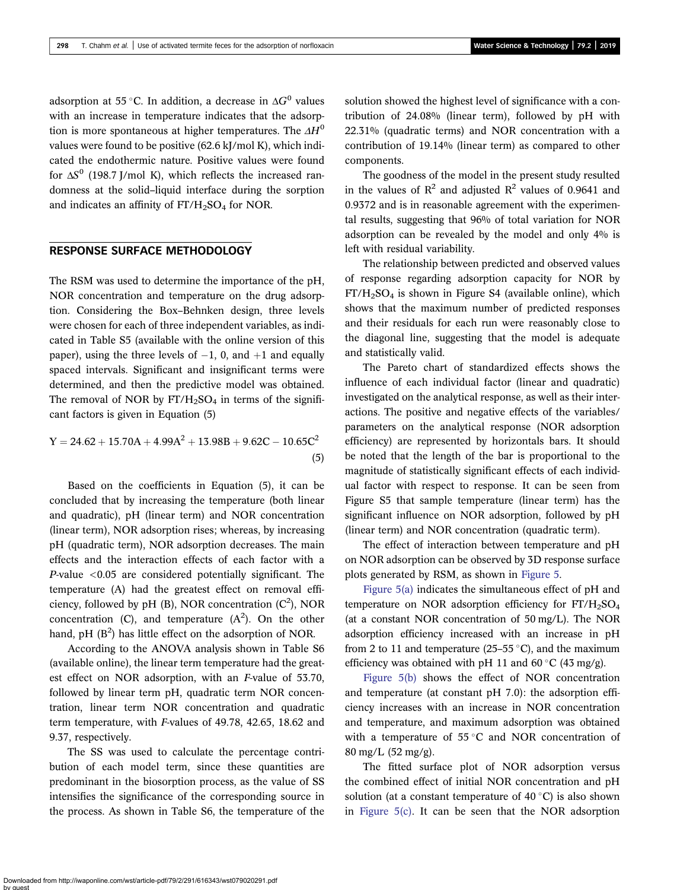adsorption at 55 °C. In addition, a decrease in  $\Delta G^0$  values with an increase in temperature indicates that the adsorption is more spontaneous at higher temperatures. The  $\Delta H^0$ values were found to be positive (62.6 kJ/mol K), which indicated the endothermic nature. Positive values were found for  $\Delta S^0$  (198.7 J/mol K), which reflects the increased randomness at the solid–liquid interface during the sorption and indicates an affinity of  $FT/H_2SO_4$  for NOR.

# RESPONSE SURFACE METHODOLOGY

The RSM was used to determine the importance of the pH, NOR concentration and temperature on the drug adsorption. Considering the Box–Behnken design, three levels were chosen for each of three independent variables, as indicated in Table S5 (available with the online version of this paper), using the three levels of  $-1$ , 0, and  $+1$  and equally spaced intervals. Significant and insignificant terms were determined, and then the predictive model was obtained. The removal of NOR by  $FT/H<sub>2</sub>SO<sub>4</sub>$  in terms of the significant factors is given in Equation (5)

$$
Y = 24.62 + 15.70A + 4.99A2 + 13.98B + 9.62C - 10.65C2
$$
\n(5)

Based on the coefficients in Equation (5), it can be concluded that by increasing the temperature (both linear and quadratic), pH (linear term) and NOR concentration (linear term), NOR adsorption rises; whereas, by increasing pH (quadratic term), NOR adsorption decreases. The main effects and the interaction effects of each factor with a P-value <0.05 are considered potentially significant. The temperature (A) had the greatest effect on removal efficiency, followed by pH (B), NOR concentration  $(C^2)$ , NOR concentration (C), and temperature  $(A<sup>2</sup>)$ . On the other hand, pH  $(B<sup>2</sup>)$  has little effect on the adsorption of NOR.

According to the ANOVA analysis shown in Table S6 (available online), the linear term temperature had the greatest effect on NOR adsorption, with an F-value of 53.70, followed by linear term pH, quadratic term NOR concentration, linear term NOR concentration and quadratic term temperature, with F-values of 49.78, 42.65, 18.62 and 9.37, respectively.

The SS was used to calculate the percentage contribution of each model term, since these quantities are predominant in the biosorption process, as the value of SS intensifies the significance of the corresponding source in the process. As shown in Table S6, the temperature of the solution showed the highest level of significance with a contribution of 24.08% (linear term), followed by pH with 22.31% (quadratic terms) and NOR concentration with a contribution of 19.14% (linear term) as compared to other components.

The goodness of the model in the present study resulted in the values of  $\mathbb{R}^2$  and adjusted  $\mathbb{R}^2$  values of 0.9641 and 0.9372 and is in reasonable agreement with the experimental results, suggesting that 96% of total variation for NOR adsorption can be revealed by the model and only 4% is left with residual variability.

The relationship between predicted and observed values of response regarding adsorption capacity for NOR by  $FT/H<sub>2</sub>SO<sub>4</sub>$  is shown in Figure S4 (available online), which shows that the maximum number of predicted responses and their residuals for each run were reasonably close to the diagonal line, suggesting that the model is adequate and statistically valid.

The Pareto chart of standardized effects shows the influence of each individual factor (linear and quadratic) investigated on the analytical response, as well as their interactions. The positive and negative effects of the variables/ parameters on the analytical response (NOR adsorption efficiency) are represented by horizontals bars. It should be noted that the length of the bar is proportional to the magnitude of statistically significant effects of each individual factor with respect to response. It can be seen from Figure S5 that sample temperature (linear term) has the significant influence on NOR adsorption, followed by pH (linear term) and NOR concentration (quadratic term).

The effect of interaction between temperature and pH on NOR adsorption can be observed by 3D response surface plots generated by RSM, as shown in [Figure 5](#page-8-0).

[Figure 5\(a\)](#page-8-0) indicates the simultaneous effect of pH and temperature on NOR adsorption efficiency for FT/H<sub>2</sub>SO<sub>4</sub> (at a constant NOR concentration of 50 mg/L). The NOR adsorption efficiency increased with an increase in pH from 2 to 11 and temperature (25–55 °C), and the maximum efficiency was obtained with pH 11 and 60  $\degree$ C (43 mg/g).

[Figure 5\(b\)](#page-8-0) shows the effect of NOR concentration and temperature (at constant pH 7.0): the adsorption efficiency increases with an increase in NOR concentration and temperature, and maximum adsorption was obtained with a temperature of  $55^{\circ}$ C and NOR concentration of 80 mg/L (52 mg/g).

The fitted surface plot of NOR adsorption versus the combined effect of initial NOR concentration and pH solution (at a constant temperature of 40  $^{\circ}$ C) is also shown in [Figure 5\(c\)](#page-8-0). It can be seen that the NOR adsorption

Downloaded from http://iwaponline.com/wst/article-pdf/79/2/291/616343/wst079020291.pdf by guest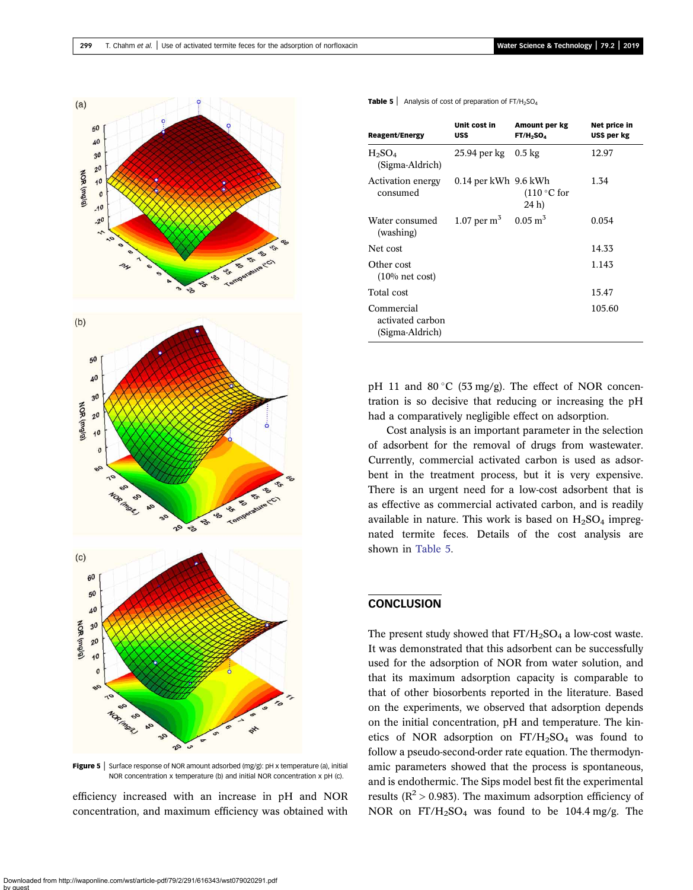<span id="page-8-0"></span>

Figure 5 | Surface response of NOR amount adsorbed (mg/g): pH x temperature (a), initial NOR concentration x temperature (b) and initial NOR concentration x pH (c).

efficiency increased with an increase in pH and NOR concentration, and maximum efficiency was obtained with

|  |  |  |  | <b>Table 5</b> $\vert$ Analysis of cost of preparation of FT/H <sub>2</sub> SO <sub>4</sub> |
|--|--|--|--|---------------------------------------------------------------------------------------------|
|--|--|--|--|---------------------------------------------------------------------------------------------|

| <b>Reagent/Energy</b>                             | Unit cost in<br>US\$     | Amount per kg<br>FT/H <sub>2</sub> SO <sub>4</sub> | Net price in<br>US\$ per kg |
|---------------------------------------------------|--------------------------|----------------------------------------------------|-----------------------------|
| $H_2SO_4$<br>(Sigma-Aldrich)                      | 25.94 per kg             | $0.5 \text{ kg}$                                   | 12.97                       |
| Activation energy<br>consumed                     | $0.14$ per kWh $9.6$ kWh | $(110\degree C)$ for<br>24 h)                      | 1.34                        |
| Water consumed<br>(washing)                       | 1.07 per $m3$            | $0.05 \text{ m}^3$                                 | 0.054                       |
| Net cost                                          |                          |                                                    | 14.33                       |
| Other cost<br>$(10\% \text{ net cost})$           |                          |                                                    | 1.143                       |
| Total cost                                        |                          |                                                    | 15.47                       |
| Commercial<br>activated carbon<br>(Sigma-Aldrich) |                          |                                                    | 105.60                      |

pH 11 and 80 $\degree$ C (53 mg/g). The effect of NOR concentration is so decisive that reducing or increasing the pH had a comparatively negligible effect on adsorption.

Cost analysis is an important parameter in the selection of adsorbent for the removal of drugs from wastewater. Currently, commercial activated carbon is used as adsorbent in the treatment process, but it is very expensive. There is an urgent need for a low-cost adsorbent that is as effective as commercial activated carbon, and is readily available in nature. This work is based on  $H<sub>2</sub>SO<sub>4</sub>$  impregnated termite feces. Details of the cost analysis are shown in Table 5.

# **CONCLUSION**

The present study showed that  $FT/H_2SO_4$  a low-cost waste. It was demonstrated that this adsorbent can be successfully used for the adsorption of NOR from water solution, and that its maximum adsorption capacity is comparable to that of other biosorbents reported in the literature. Based on the experiments, we observed that adsorption depends on the initial concentration, pH and temperature. The kinetics of NOR adsorption on  $FT/H<sub>2</sub>SO<sub>4</sub>$  was found to follow a pseudo-second-order rate equation. The thermodynamic parameters showed that the process is spontaneous, and is endothermic. The Sips model best fit the experimental results ( $R^2 > 0.983$ ). The maximum adsorption efficiency of NOR on  $FT/H_2SO_4$  was found to be 104.4 mg/g. The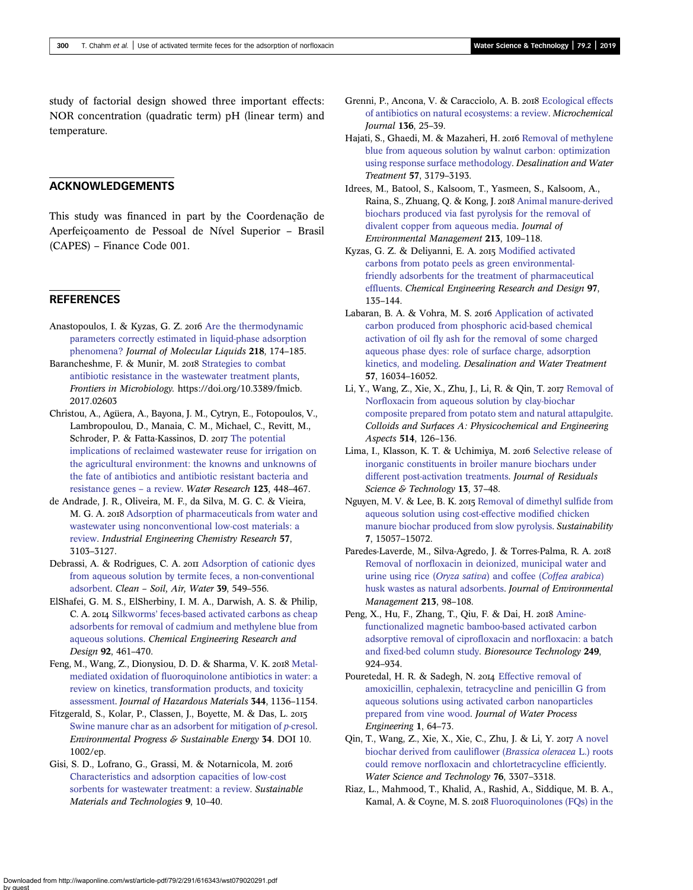<span id="page-9-0"></span>study of factorial design showed three important effects: NOR concentration (quadratic term) pH (linear term) and temperature.

## ACKNOWLEDGEMENTS

This study was financed in part by the Coordenação de Aperfeiçoamento de Pessoal de Nível Superior – Brasil (CAPES) – Finance Code 001.

## **REFERENCES**

- Anastopoulos, I. & Kyzas, G. Z. 2016 [Are the thermodynamic](http://dx.doi.org/10.1016/j.molliq.2016.02.059) [parameters correctly estimated in liquid-phase adsorption](http://dx.doi.org/10.1016/j.molliq.2016.02.059) [phenomena?](http://dx.doi.org/10.1016/j.molliq.2016.02.059) Journal of Molecular Liquids 218, 174–185.
- Barancheshme, F. & Munir, M. 2018 [Strategies to combat](http://dx.doi.org/10.3389/fmicb.2017.02603) [antibiotic resistance in the wastewater treatment plants](http://dx.doi.org/10.3389/fmicb.2017.02603), Frontiers in Microbiology. https://doi.org/10.3389/fmicb. 2017.02603
- Christou, A., Agüera, A., Bayona, J. M., Cytryn, E., Fotopoulos, V., Lambropoulou, D., Manaia, C. M., Michael, C., Revitt, M., Schroder, P. & Fatta-Kassinos, D. 2017 [The potential](http://dx.doi.org/10.1016/j.watres.2017.07.004) [implications of reclaimed wastewater reuse for irrigation on](http://dx.doi.org/10.1016/j.watres.2017.07.004) [the agricultural environment: the knowns and unknowns of](http://dx.doi.org/10.1016/j.watres.2017.07.004) [the fate of antibiotics and antibiotic resistant bacteria and](http://dx.doi.org/10.1016/j.watres.2017.07.004) [resistance genes](http://dx.doi.org/10.1016/j.watres.2017.07.004) – a review. Water Research 123, 448–467.
- de Andrade, J. R., Oliveira, M. F., da Silva, M. G. C. & Vieira, M. G. A. 2018 [Adsorption of pharmaceuticals from water and](http://dx.doi.org/10.1021/acs.iecr.7b05137) [wastewater using nonconventional low-cost materials: a](http://dx.doi.org/10.1021/acs.iecr.7b05137) [review](http://dx.doi.org/10.1021/acs.iecr.7b05137). Industrial Engineering Chemistry Research 57, 3103–3127.
- Debrassi, A. & Rodrigues, C. A. 2011 [Adsorption of cationic dyes](http://dx.doi.org/10.1002/clen.201000335) [from aqueous solution by termite feces, a non-conventional](http://dx.doi.org/10.1002/clen.201000335) [adsorbent.](http://dx.doi.org/10.1002/clen.201000335) Clean – Soil, Air, Water 39, 549–556.
- ElShafei, G. M. S., ElSherbiny, I. M. A., Darwish, A. S. & Philip, C. A. 2014 Silkworms' [feces-based activated carbons as cheap](http://dx.doi.org/10.1016/j.cherd.2013.09.004) [adsorbents for removal of cadmium and methylene blue from](http://dx.doi.org/10.1016/j.cherd.2013.09.004) [aqueous solutions](http://dx.doi.org/10.1016/j.cherd.2013.09.004). Chemical Engineering Research and Design 92, 461–470.
- Feng, M., Wang, Z., Dionysiou, D. D. & Sharma, V. K. 2018 [Metal](http://dx.doi.org/10.1016/j.jhazmat.2017.08.067)[mediated oxidation of fluoroquinolone antibiotics in water: a](http://dx.doi.org/10.1016/j.jhazmat.2017.08.067) [review on kinetics, transformation products, and toxicity](http://dx.doi.org/10.1016/j.jhazmat.2017.08.067) [assessment](http://dx.doi.org/10.1016/j.jhazmat.2017.08.067). Journal of Hazardous Materials 344, 1136–1154.
- Fitzgerald, S., Kolar, P., Classen, J., Boyette, M. & Das, L. [Swine manure char as an adsorbent for mitigation of](http://dx.doi.org/10.1002/ep.11972) p-cresol. Environmental Progress & Sustainable Energy 34. DOI 10. 1002/ep.
- Gisi, S. D., Lofrano, G., Grassi, M. & Notarnicola, M. [Characteristics and adsorption capacities of low-cost](http://dx.doi.org/10.1016/j.susmat.2016.06.002) [sorbents for wastewater treatment: a review.](http://dx.doi.org/10.1016/j.susmat.2016.06.002) Sustainable Materials and Technologies 9, 10–40.
- Grenni, P., Ancona, V. & Caracciolo, A. B. 2018 [Ecological effects](http://dx.doi.org/10.1016/j.microc.2017.02.006) [of antibiotics on natural ecosystems: a review](http://dx.doi.org/10.1016/j.microc.2017.02.006). Microchemical Journal 136, 25–39.
- Hajati, S., Ghaedi, M. & Mazaheri, H. 2016 [Removal of methylene](http://dx.doi.org/10.1080/19443994.2014.981217) [blue from aqueous solution by walnut carbon: optimization](http://dx.doi.org/10.1080/19443994.2014.981217) [using response surface methodology](http://dx.doi.org/10.1080/19443994.2014.981217). Desalination and Water Treatment 57, 3179–3193.
- Idrees, M., Batool, S., Kalsoom, T., Yasmeen, S., Kalsoom, A., Raina, S., Zhuang, Q. & Kong, J. 2018 [Animal manure-derived](http://dx.doi.org/10.1016/j.jenvman.2018.02.003) [biochars produced via fast pyrolysis for the removal of](http://dx.doi.org/10.1016/j.jenvman.2018.02.003) [divalent copper from aqueous media](http://dx.doi.org/10.1016/j.jenvman.2018.02.003). Journal of Environmental Management 213, 109–118.
- Kyzas, G. Z. & Deliyanni, E. A. 2015 [Modified activated](http://dx.doi.org/10.1016/j.cherd.2014.08.020) [carbons from potato peels as green environmental](http://dx.doi.org/10.1016/j.cherd.2014.08.020)[friendly adsorbents for the treatment of pharmaceutical](http://dx.doi.org/10.1016/j.cherd.2014.08.020) [effluents.](http://dx.doi.org/10.1016/j.cherd.2014.08.020) Chemical Engineering Research and Design 97, 135–144.
- Labaran, B. A. & Vohra, M. S. 2016 [Application of activated](http://dx.doi.org/10.1080/19443994.2015.1074118) [carbon produced from phosphoric acid-based chemical](http://dx.doi.org/10.1080/19443994.2015.1074118) [activation of oil fly ash for the removal of some charged](http://dx.doi.org/10.1080/19443994.2015.1074118) [aqueous phase dyes: role of surface charge, adsorption](http://dx.doi.org/10.1080/19443994.2015.1074118) [kinetics, and modeling.](http://dx.doi.org/10.1080/19443994.2015.1074118) Desalination and Water Treatment 57, 16034–16052.
- Li, Y., Wang, Z., Xie, X., Zhu, J., Li, R. & Qin, T. 2017 [Removal of](http://dx.doi.org/10.1016/j.colsurfa.2016.11.064) [Norfloxacin from aqueous solution by clay-biochar](http://dx.doi.org/10.1016/j.colsurfa.2016.11.064) [composite prepared from potato stem and natural attapulgite](http://dx.doi.org/10.1016/j.colsurfa.2016.11.064). Colloids and Surfaces A: Physicochemical and Engineering Aspects 514, 126–136.
- Lima, I., Klasson, K. T. & Uchimiya, M. 2016 [Selective release of](http://dx.doi.org/10.12783/issn.1544-8053/13/1/6) [inorganic constituents in broiler manure biochars under](http://dx.doi.org/10.12783/issn.1544-8053/13/1/6) [different post-activation treatments](http://dx.doi.org/10.12783/issn.1544-8053/13/1/6). Journal of Residuals Science & Technology 13, 37-48.
- Nguyen, M. V. & Lee, B. K. 2015 [Removal of dimethyl sulfide from](http://dx.doi.org/10.3390/su71115057) [aqueous solution using cost-effective modified chicken](http://dx.doi.org/10.3390/su71115057) [manure biochar produced from slow pyrolysis.](http://dx.doi.org/10.3390/su71115057) Sustainability 7, 15057–15072.
- Paredes-Laverde, M., Silva-Agredo, J. & Torres-Palma, R. A. [Removal of norfloxacin in deionized, municipal water and](http://dx.doi.org/10.1016/j.jenvman.2018.02.047) [urine using rice \(](http://dx.doi.org/10.1016/j.jenvman.2018.02.047)Oryza sativa) and coffee (Coffea arabica) [husk wastes as natural adsorbents](http://dx.doi.org/10.1016/j.jenvman.2018.02.047). Journal of Environmental Management 213, 98–108.
- Peng, X., Hu, F., Zhang, T., Qiu, F. & Dai, H. 2018 [Amine](http://dx.doi.org/10.1016/j.biortech.2017.10.095)[functionalized magnetic bamboo-based activated carbon](http://dx.doi.org/10.1016/j.biortech.2017.10.095) [adsorptive removal of ciprofloxacin and norfloxacin: a batch](http://dx.doi.org/10.1016/j.biortech.2017.10.095) [and fixed-bed column study.](http://dx.doi.org/10.1016/j.biortech.2017.10.095) Bioresource Technology 249, 924–934.
- Pouretedal, H. R. & Sadegh, N. 2014 [Effective removal of](http://dx.doi.org/10.1016/j.jwpe.2014.03.006) [amoxicillin, cephalexin, tetracycline and penicillin G from](http://dx.doi.org/10.1016/j.jwpe.2014.03.006) [aqueous solutions using activated carbon nanoparticles](http://dx.doi.org/10.1016/j.jwpe.2014.03.006) [prepared from vine wood.](http://dx.doi.org/10.1016/j.jwpe.2014.03.006) Journal of Water Process Engineering 1, 64–73.
- Qin, T., Wang, Z., Xie, X., Xie, C., Zhu, J. & Li, Y. 2017 [A novel](http://dx.doi.org/10.2166/wst.2017.494) [biochar derived from cauliflower \(](http://dx.doi.org/10.2166/wst.2017.494)Brassica oleracea L.) roots [could remove norfloxacin and chlortetracycline efficiently.](http://dx.doi.org/10.2166/wst.2017.494) Water Science and Technology 76, 3307–3318.
- Riaz, L., Mahmood, T., Khalid, A., Rashid, A., Siddique, M. B. A., Kamal, A. & Coyne, M. S. 2018 [Fluoroquinolones \(FQs\) in the](http://dx.doi.org/10.1016/j.chemosphere.2017.10.092)